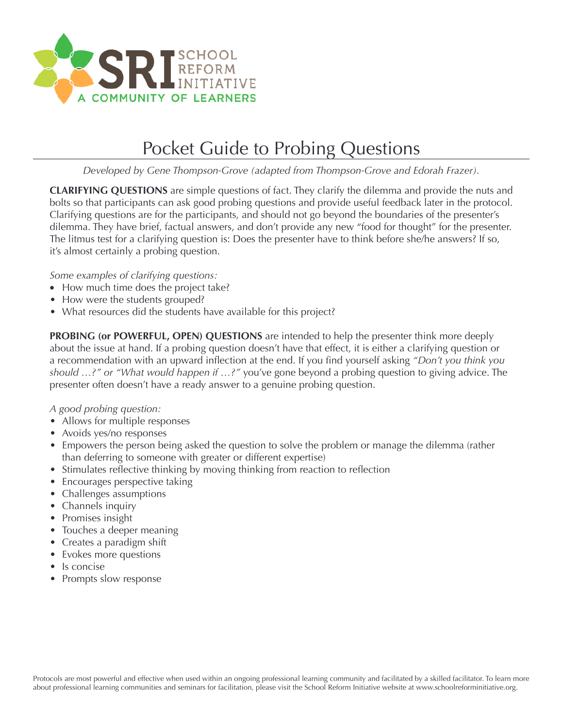

## Pocket Guide to Probing Questions

*Developed by Gene Thompson-Grove (adapted from Thompson-Grove and Edorah Frazer).*

**CLARIFYING QUESTIONS** are simple questions of fact. They clarify the dilemma and provide the nuts and bolts so that participants can ask good probing questions and provide useful feedback later in the protocol. Clarifying questions are for the participants, and should not go beyond the boundaries of the presenter's dilemma. They have brief, factual answers, and don't provide any new "food for thought" for the presenter. The litmus test for a clarifying question is: Does the presenter have to think before she/he answers? If so, it's almost certainly a probing question.

## *Some examples of clarifying questions:*

- How much time does the project take?
- How were the students grouped?
- What resources did the students have available for this project?

**PROBING (or POWERFUL, OPEN) QUESTIONS** are intended to help the presenter think more deeply about the issue at hand. If a probing question doesn't have that effect, it is either a clarifying question or a recommendation with an upward inflection at the end. If you find yourself asking *"Don't* you *think* you *should …?" or "What would happen if …?"* you've gone beyond a probing question to giving advice. The presenter often doesn't have a ready answer to a genuine probing question.

## *A good probing question:*

- Allows for multiple responses
- Avoids yes/no responses
- Empowers the person being asked the question to solve the problem or manage the dilemma (rather than deferring to someone with greater or different expertise)
- Stimulates reflective thinking by moving thinking from reaction to reflection
- Encourages perspective taking
- Challenges assumptions
- Channels inquiry
- Promises insight
- Touches a deeper meaning
- Creates a paradigm shift
- Evokes more questions
- Is concise
- Prompts slow response